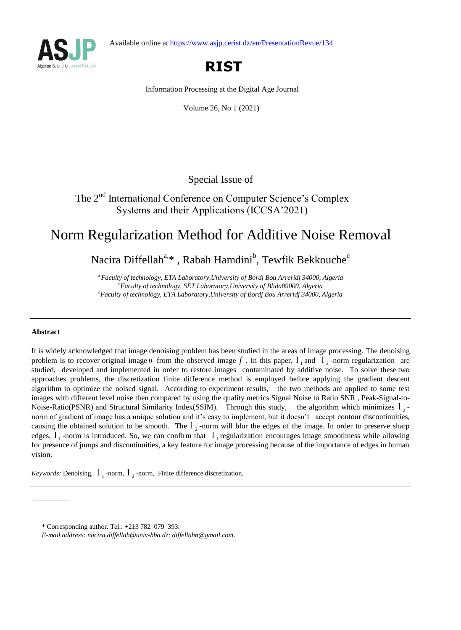



# **RIST**

Information Processing at the Digital Age Journal

Volume 26, No 1 (2021)

Special Issue of

## The 2<sup>nd</sup> International Conference on Computer Science's Complex Systems and their Applications (ICCSA'2021)

## Norm Regularization Method for Additive Noise Removal

Nacira Diffellah<sup>a,</sup>\* , Rabah Hamdini<sup>b</sup>, Tewfik Bekkouche<sup>c</sup>

*<sup>a</sup>Faculty of technology, ETA Laboratory,University of Bordj Bou Arreridj 34000, Algeria <sup>b</sup>Faculty of technology, SET Laboratory,University of Blida09000, Algeria <sup>c</sup>Faculty of technology, ETA Laboratory,University of Bordj Bou Arreridj 34000, Algeria*

## **Abstract**

It is widely acknowledged that image denoising problem has been studied in the areas of image processing. The denoising problem is to recover original image  $u$  from the observed image  $f$ . In this paper,  $l_1$  and  $l_2$ -norm regularization are studied, developed and implemented in order to restore images contaminated by additive noise. To solve these two approaches problems, the discretization finite difference method is employed before applying the gradient descent algorithm to optimize the noised signal. According to experiment results, the two methods are applied to some test images with different level noise then compared by using the quality metrics Signal Noise to Ratio SNR , Peak-Signal-to-Noise-Ratio(PSNR) and Structural Similarity Index(SSIM). Through this study,  $\frac{1}{2}$  norm of gradient of image has a unique solution and it's easy to implement, but it doesn't accept contour discontinuities, causing the obtained solution to be smooth. The  $l_2$ -norm will blur the edges of the image. In order to preserve sharp edges,  $l_1$ -norm is introduced. So, we can confirm that  $l_1$  regularization encourages image smoothness while allowing for presence of jumps and discontinuities, a key feature for image processing because of the importance of edges in human vision.

*Keywords:* Denoising,  $1_{1}$ -norm,  $1_{2}$ -norm, Finite difference discretization,

<sup>\*</sup> Corresponding author. Tel.: +213 782 079 393.

*E-mail address: nacira.diffellah@univ-bba.dz; diffellahn@gmail.com*.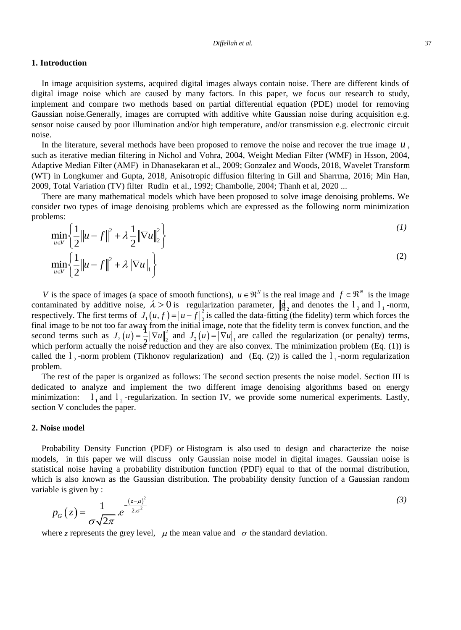## **1. Introduction**

In image acquisition systems, acquired digital images always contain noise. There are different kinds of digital image noise which are caused by many factors. In this paper, we focus our research to study, implement and compare two methods based on partial differential equation (PDE) model for removing Gaussian noise.Generally, images are corrupted with additive white Gaussian noise during acquisition e.g. sensor noise caused by poor illumination and/or high temperature, and/or transmission e.g. electronic circuit noise.

In the literature, several methods have been proposed to remove the noise and recover the true image *u* , such as iterative median filtering in Nichol and Vohra, 2004, Weight Median Filter (WMF) in Hsson, 2004, Adaptive Median Filter (AMF) in Dhanasekaran et al., 2009; Gonzalez and Woods, 2018, Wavelet Transform (WT) in Longkumer and Gupta, 2018, Anisotropic diffusion filtering in Gill and Sharrma, 2016; Min Han, 2009, Total Variation (TV) filter Rudin et al., 1992; Chambolle, 2004; Thanh et al, 2020 ...

There are many mathematical models which have been proposed to solve image denoising problems. We consider two types of image denoising problems which are expressed as the following norm minimization problems:

$$
\min_{u \in V} \left\{ \frac{1}{2} \left\| u - f \right\|^2 + \lambda \frac{1}{2} \left\| \nabla u \right\|_2^2 \right\}
$$
\n
$$
\min_{u \in V} \left\{ \frac{1}{2} \left\| u - f \right\|^2 + \lambda \left\| \nabla u \right\|_1 \right\}
$$
\n(1)\n(2)

*V* is the space of images (a space of smooth functions),  $u \in \mathbb{R}^N$  is the real image and  $f \in \mathbb{R}^N$  is the image contaminated by additive noise,  $\lambda > 0$  is regularization parameter,  $\|\mathbf{g}\|_2$  and denotes the  $1_2$  and  $1_1$ -norm, respectively. The first terms of  $J_1(u, f) = ||u - f||_2^2$  is called the data-fitting (the fidelity) term which forces the Final image to be not too far away from the initial image, note that the fidelity term is convex function, and the final image to be not too far away from the initial image, note that the fidelity term is convex function, second terms such as  $J_2(u) = -\frac{1}{2} ||\nabla u||_2^2$ 2  $\binom{n}{2}$   $\binom{n}{2}$   $\binom{n}{2}$ 1  $J_2(u) = -\|\nabla u\|_2^2$  and  $J_2(u) = \|\nabla u\|_1$  are called the regularization (or penalty) terms,<br>the poise reduction and they are also convex. The minimization problem (Eq. (1)) is which perform actually the noise reduction and they are also convex. The minimization problem (Eq.  $(1)$ ) is called the  $1_2$ -norm problem (Tikhonov regularization) and (Eq. (2)) is called the  $1_1$ -norm regularization problem.

The rest of the paper is organized as follows: The second section presents the noise model. Section III is dedicated to analyze and implement the two different image denoising algorithms based on energy minimization:  $1_1$  and  $1_2$ -regularization. In section IV, we provide some numerical experiments. Lastly, section V concludes the paper.

#### **2. Noise model**

Probability Density Function (PDF) or Histogram is also used to design and characterize the noise models, in this paper we will discuss only Gaussian noise model in digital images. Gaussian noise is statistical noise having a probability distribution function (PDF) equal to that of the normal distribution, which is also known as the Gaussian distribution. The probability density function of a Gaussian random variable is given by :

$$
p_G(z) = \frac{1}{\sigma\sqrt{2\pi}} \, e^{\frac{(z-\mu)^2}{2\sigma^2}} \tag{3}
$$

where z represents the grey level,  $\mu$  the mean value and  $\sigma$  the standard deviation.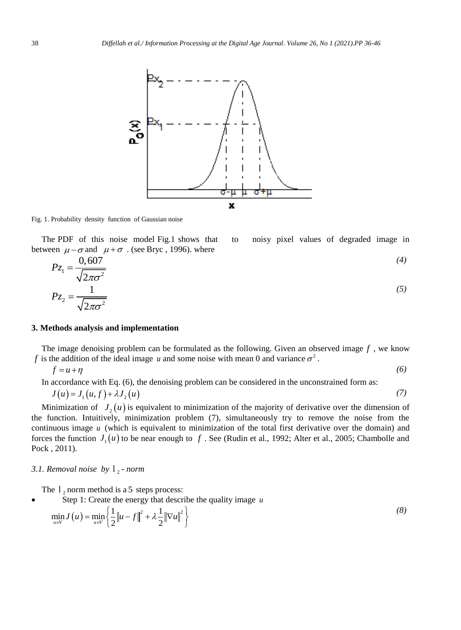

Fig. 1. Probability density function of Gaussian noise

The PDF of this noise model Fig.1 shows that to noisy pixel values of degraded image in between  $\mu - \sigma$  and  $\mu + \sigma$ . (see Bryc, 1996). where

$$
P_{Z_1} = \frac{0,607}{\sqrt{2\pi\sigma^2}}
$$
\n
$$
P_{Z_2} = \frac{1}{\sqrt{2\pi\sigma^2}}
$$
\n(5)

### **3. Methods analysis and implementation**

The image denoising problem can be formulated as the following. Given an observed image  $f$ , we know f is the addition of the ideal image u and some noise with mean 0 and variance  $\sigma^2$ .

$$
f = u + \eta \tag{6}
$$

In accordance with Eq. (6), the denoising problem can be considered in the unconstrained form as:  $J(u) = J_1(u, f) + \lambda J_2(u)$ *(7)*

Minimization of  $J_2(u)$  is equivalent to minimization of the majority of derivative over the dimension of the function. Intuitively, minimization problem (7), simultaneously try to remove the noise from the continuous image *u* (which is equivalent to minimization of the total first derivative over the domain) and forces the function  $J_1(u)$  to be near enough to f. See (Rudin et al., 1992; Alter et al., 2005; Chambolle and Pock , 2011).

## *3.1. Removal noise by*  2 l *- norm*

The  $1<sub>2</sub>$  norm method is a 5 steps process:

Step 1: Create the energy that describe the quality image *u*  
\n
$$
\min_{u \in V} J(u) = \min_{u \in V} \left\{ \frac{1}{2} ||u - f||^2 + \lambda \frac{1}{2} ||\nabla u||^2 \right\}
$$
\n(8)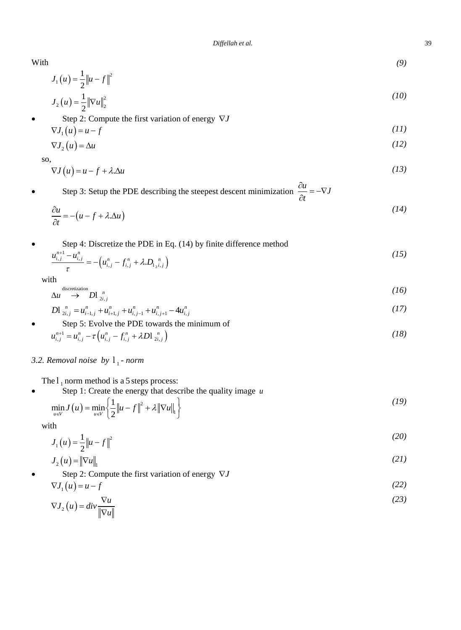With

$$
J_1(u) = \frac{1}{2} ||u - f||^2
$$
  
\n
$$
J_2(u) = \frac{1}{2} ||\nabla u||_2^2
$$
\n(10)

Step 2: Compute the first variation of energy  $\nabla J$ 

$$
\nabla J_1(u) = u - f \tag{11}
$$

$$
\nabla J_2(u) = \Delta u \tag{12}
$$

so,

$$
\nabla J(u) = u - f + \lambda \Delta u \tag{13}
$$

• Step 3: Setup the PDE describing the steepest descent minimization  $\frac{\partial u}{\partial t} = -\nabla J$ *t*  $\frac{\partial u}{\partial t} = -\nabla$  $\partial$ 

$$
\frac{\partial u}{\partial t} = -(u - f + \lambda \Delta u) \tag{14}
$$

Step 4: Discretize the PDE in Eq. (14) by finite difference method

Step 4. Discrete the 1 DE in Eq. (14) by finite difference method  
\n
$$
\frac{u_{i,j}^{n+1} - u_{i,j}^n}{\tau} = -\left(u_{i,j}^n - f_{i,j}^n + \lambda D_{12}^n\right)
$$
\n(15)

with

discretization *(16)*

$$
\Delta u \rightarrow D l_{2i,j}^{n} \tag{10}
$$
  
\n
$$
D l_{2i,j}^{n} = u_{i-1,j}^{n} + u_{i+1,j}^{n} + u_{i,j-1}^{n} + u_{i,j+1}^{n} - 4u_{i,j}^{n}
$$

• Step 5: Evolve the PDE towards the minimum of  
\n
$$
u_{i,j}^{n+1} = u_{i,j}^n - \tau \left( u_{i,j}^n - f_{i,j}^n + \lambda D \mathbf{1}_{2i,j}^{n} \right)
$$
\n(18)

## *3.2. Removal noise by*  1 l *- norm*

The  $l_1$  norm method is a 5 steps process:

Step 1: Create the energy that describe the quality image *u*  
\n
$$
\min_{u \in V} J(u) = \min_{u \in V} \left\{ \frac{1}{2} ||u - f||^2 + \lambda ||\nabla u||_1 \right\}
$$
\n(19)

with

 $(u) = \frac{1}{2} ||u - f||^2$ 1 1  $J_1(u) = \frac{1}{2} ||u - f||$ *(20)*

$$
J_2(u) = \|\nabla u\|_{1}
$$
\n<sup>(21)</sup>

Step 2: Compute the first variation of energy  $\nabla J$ 

$$
\nabla J_1(u) = u - f \tag{22}
$$

$$
\nabla J_2(u) = \text{div}\frac{\nabla u}{\|\nabla u\|}\tag{23}
$$

*(9)*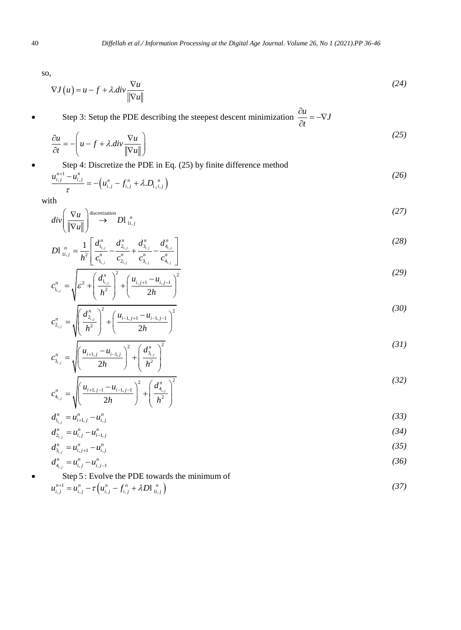$\frac{\partial u}{\partial t} = -\nabla$ 

so,

$$
\nabla J\left(u\right) = u - f + \lambda \operatorname{div} \frac{\nabla u}{\|\nabla u\|} \tag{24}
$$

Step 3: Setup the PDE describing the steepest descent minimization  $\frac{\partial u}{\partial t} = -\nabla J$ 

$$
\frac{\partial u}{\partial t} = -\left(u - f + \lambda \operatorname{div} \frac{\nabla u}{\|\nabla u\|}\right) \tag{25}
$$

Step 4: Discretize the PDE in Eq. (25) by finite difference method

$$
\frac{u_{i,j}^{n+1} - u_{i,j}^n}{\tau} = -\left(u_{i,j}^n - f_{i,j}^n + \lambda D_{1,i,j}^n\right)
$$
\n(26)

with

$$
div \left(\frac{\nabla u}{\|\nabla u\|}\right)^{\text{discretization}} D \mathbf{1}_{1i,j}^n \tag{27}
$$

$$
D\mathbf{1}_{i,i,j}^{n} = \frac{1}{h^2} \left[ \frac{d_{i_{i,j}}^{n}}{c_{i_{i,j}}^{n}} - \frac{d_{2_{i,j}}^{n}}{c_{2_{i,j}}^{n}} + \frac{d_{3_{i,j}}^{n}}{c_{3_{i,j}}^{n}} - \frac{d_{4_{i,j}}^{n}}{c_{4_{i,j}}^{n}} \right]
$$
(28)

$$
c_{i_{i,j}}^n = \sqrt{\varepsilon^2 + \left(\frac{d_{i_{i,j}}^n}{h^2}\right)^2 + \left(\frac{u_{i,j+1} - u_{i,j-1}}{2h}\right)^2}
$$
(29)

$$
c_{2_{i,j}}^n = \sqrt{\left(\frac{d_{2_{i,j}}^n}{h^2}\right)^2 + \left(\frac{u_{i-1,j+1} - u_{i-1,j-1}}{2h}\right)^2}
$$
(30)

$$
c_{3_{i,j}}^n = \sqrt{\left(\frac{u_{i+1,j} - u_{i-1,j}}{2h}\right)^2 + \left(\frac{d_{3_{i,j}}^n}{h^2}\right)^2}
$$
\n(31)

$$
c_{4_{i,j}}^n = \sqrt{\left(\frac{u_{i+1,j-1} - u_{i-1,j-1}}{2h}\right)^2 + \left(\frac{d_{4_{i,j}}^n}{h^2}\right)^2}
$$
\n(32)

$$
d_{1_{i,j}}^n = u_{i+1,j}^n - u_{i,j}^n \tag{33}
$$

$$
d_{2_{i,j}}^n = u_{i,j}^n - u_{i-1,j}^n \tag{34}
$$

$$
d_{3_{i,j}}^n = u_{i,j+1}^n - u_{i,j}^n \tag{35}
$$

$$
d_{4_{i,j}}^n = u_{i,j}^n - u_{i,j-1}^n \tag{36}
$$

• Step 5: Evolve the PDE towards the minimum of  
\n
$$
u_{i,j}^{n+1} = u_{i,j}^n - \tau \left( u_{i,j}^n - f_{i,j}^n + \lambda D \mathbf{1}_{i,j}^n \right)
$$
\n(37)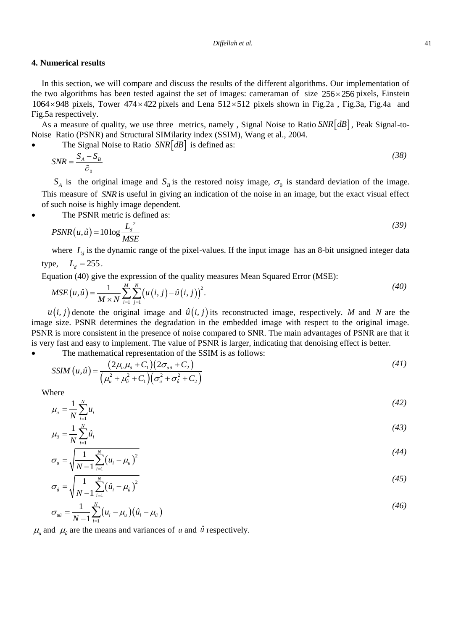## **4. Numerical results**

In this section, we will compare and discuss the results of the different algorithms. Our implementation of the two algorithms has been tested against the set of images: cameraman of size  $256 \times 256$  pixels, Einstein  $1064 \times 948$  pixels, Tower  $474 \times 422$  pixels and Lena  $512 \times 512$  pixels shown in Fig.2a, Fig.3a, Fig.4a and Fig.5a respectively.

As a measure of quality, we use three metrics, namely, Signal Noise to Ratio SNR | dB |, Peak Signal-to-Noise Ratio (PSNR) and Structural SIMilarity index (SSIM), Wang et al., 2004.

• The Signal Noise to Ratio  $SNR\lfloor dB \rfloor$  is defined as:

$$
SNR = \frac{S_A - S_B}{\partial_0} \tag{38}
$$

 $S_A$  is the original image and  $S_B$  is the restored noisy image,  $\sigma_0$  is standard deviation of the image. This measure of *SNR* is useful in giving an indication of the noise in an image, but the exact visual effect of such noise is highly image dependent.

• The PSNR metric is defined as:

$$
PSNR(u,\hat{u}) = 10\log \frac{L_d^2}{MSE}
$$
\n(39)

where  $L_d$  is the dynamic range of the pixel-values. If the input image has an 8-bit unsigned integer data type,  $L_d = 255$ .

Equation (40) give the expression of the quality measures Mean Squared Error (MSE):  
\n
$$
MSE(u, \hat{u}) = \frac{1}{M \times N} \sum_{i=1}^{M} \sum_{j=1}^{N} (u(i, j) - \hat{u}(i, j))^{2}.
$$
\n(40)

 $u(i, j)$  denote the original image and  $\hat{u}(i, j)$  its reconstructed image, respectively. *M* and *N* are the image size. PSNR determines the degradation in the embedded image with respect to the original image. PSNR is more consistent in the presence of noise compared to SNR. The main advantages of PSNR are that it is very fast and easy to implement. The value of PSNR is larger, indicating that denoising effect is better.

• The mathematical representation of the SSIM is as follows:  
\n
$$
SSIM (u, \hat{u}) = \frac{(2\mu_u \mu_{\hat{u}} + C_1)(2\sigma_{u\hat{u}} + C_2)}{(\mu_u^2 + \mu_{\hat{u}}^2 + C_1)(\sigma_u^2 + \sigma_{\hat{u}}^2 + C_2)}
$$
\n(41)

Where

$$
\mu_{u} = \frac{1}{N} \sum_{i=1}^{N} u_{i}
$$
\n(42)

$$
\mu_{\hat{a}} = \frac{1}{N} \sum_{i=1}^{N} \hat{u}_i
$$
\n(43)

$$
\sigma_u = \sqrt{\frac{1}{N-1} \sum_{i=1}^{N} (u_i - \mu_u)^2}
$$
\n(44)

$$
\sigma_{\hat{u}} = \sqrt{\frac{1}{N-1} \sum_{i=1}^{N} (\hat{u}_i - \mu_{\hat{u}})^2}
$$
(45)

$$
\sigma_{u\hat{u}} = \frac{1}{N-1} \sum_{i=1}^{N} (u_i - \mu_u)(\hat{u}_i - \mu_{\hat{u}})
$$
\n(46)

 $\mu$ <sub>*u*</sub> and  $\mu$ <sub>*a*</sub> are the means and variances of *u* and  $\hat{u}$  respectively.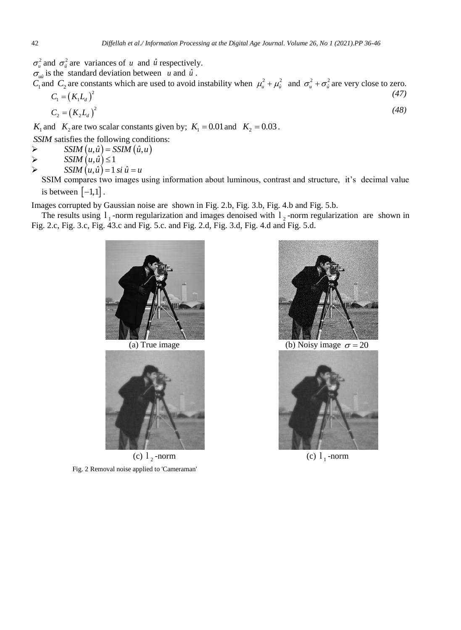$\sigma_u^2$  and  $\sigma_{\hat{u}}^2$  are variances of *u* and  $\hat{u}$  respectively.  $\sigma_{\nu\hat{i}}$  is the standard deviation between *u* and  $\hat{u}$ .

 $C_1$  and  $C_2$  are constants which are used to avoid instability when  $\mu_u^2 + \mu_{\hat{u}}^2$  and  $\sigma_u^2 + \sigma_{\hat{u}}^2$  are very close to zero.  $C_1 = (K_1 L_d)^2$ *(47)*

$$
C_2 = \left(K_2 L_d\right)^2\tag{48}
$$

 $K_1$  and  $K_2$  are two scalar constants given by;  $K_1 = 0.01$  and  $K_2 = 0.03$ .

*SSIM* satisfies the following conditions:

- ⋗  $SSIM (u, \hat{u}) = SSIM (\hat{u}, u)$
- $\blacktriangleright$ *SSIM*  $(u, \hat{u}) \leq 1$
- $\blacktriangleright$  $SSIM (u, \hat{u}) = 1 \text{ si } \hat{u} = u$

SSIM compares two images using information about luminous, contrast and structure, it's decimal value is between  $[-1,1]$ .

Images corrupted by Gaussian noise are shown in Fig. 2.b, Fig. 3.b, Fig. 4.b and Fig. 5.b.

The results using  $l_1$ -norm regularization and images denoised with  $l_2$ -norm regularization are shown in Fig. 2.c, Fig. 3.c, Fig. 43.c and Fig. 5.c. and Fig. 2.d, Fig. 3.d, Fig. 4.d and Fig. 5.d.





(c)  $1_2$ -norm (c)

Fig. 2 Removal noise applied to 'Cameraman'



(a) True image (b) Noisy image  $\sigma = 20$ 



 $l_1$ -norm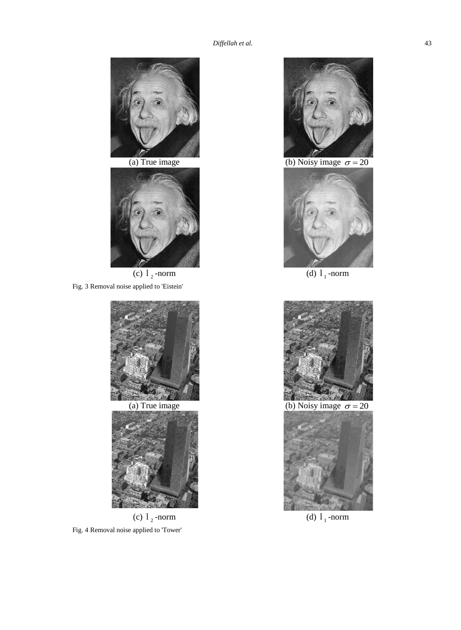





(c)  $1_2$ -norm (d) Fig. 3 Removal noise applied to 'Eistein'





(c)  $1_2$ -norm (d) Fig. 4 Removal noise applied to 'Tower'



(a) True image (b) Noisy image  $\sigma = 20$ 



 $l_1$ -norm



(a) True image  $\sigma = 20$ 



 $1_{1}$ -norm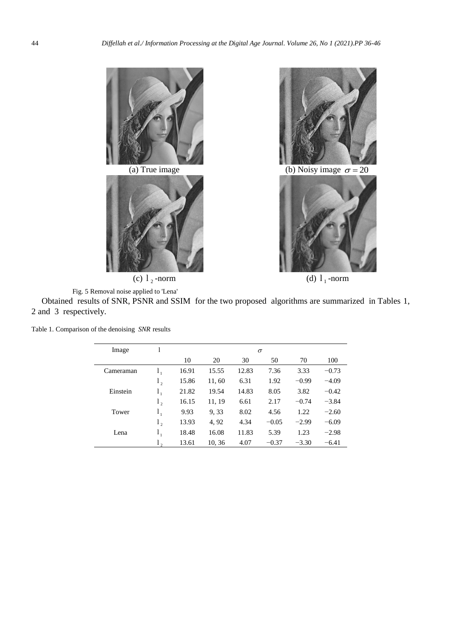



 $l_1$ -norm

Fig. 5 Removal noise applied to 'Lena'

Obtained results of SNR, PSNR and SSIM for the two proposed algorithms are summarized in Tables 1, 2 and 3 respectively.

| Image     | l       | $\sigma$ |        |       |         |         |         |
|-----------|---------|----------|--------|-------|---------|---------|---------|
|           |         | 10       | 20     | 30    | 50      | 70      | 100     |
| Cameraman | 1,      | 16.91    | 15.55  | 12.83 | 7.36    | 3.33    | $-0.73$ |
|           | $1_{2}$ | 15.86    | 11,60  | 6.31  | 1.92    | $-0.99$ | $-4.09$ |
| Einstein  | $1_{1}$ | 21.82    | 19.54  | 14.83 | 8.05    | 3.82    | $-0.42$ |
|           | 1,      | 16.15    | 11, 19 | 6.61  | 2.17    | $-0.74$ | $-3.84$ |
| Tower     | 1,      | 9.93     | 9.33   | 8.02  | 4.56    | 1.22    | $-2.60$ |
|           | 1,      | 13.93    | 4,92   | 4.34  | $-0.05$ | $-2.99$ | $-6.09$ |
| Lena      | $1_{1}$ | 18.48    | 16.08  | 11.83 | 5.39    | 1.23    | $-2.98$ |
|           | 1,      | 13.61    | 10, 36 | 4.07  | $-0.37$ | $-3.30$ | $-6.41$ |

Table 1. Comparison of the denoising *SNR* results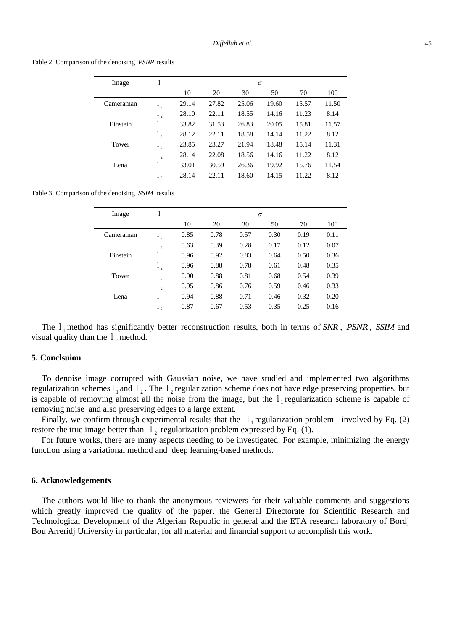Table 2. Comparison of the denoising *PSNR* results

| Image     |    | $\sigma$ |       |       |       |       |       |
|-----------|----|----------|-------|-------|-------|-------|-------|
|           |    | 10       | 20    | 30    | 50    | 70    | 100   |
| Cameraman | 1, | 29.14    | 27.82 | 25.06 | 19.60 | 15.57 | 11.50 |
|           | 1, | 28.10    | 22.11 | 18.55 | 14.16 | 11.23 | 8.14  |
| Einstein  | 1, | 33.82    | 31.53 | 26.83 | 20.05 | 15.81 | 11.57 |
|           | 1, | 28.12    | 22.11 | 18.58 | 14.14 | 11.22 | 8.12  |
| Tower     | 1, | 23.85    | 23.27 | 21.94 | 18.48 | 15.14 | 11.31 |
|           | 1, | 28.14    | 22.08 | 18.56 | 14.16 | 11.22 | 8.12  |
| Lena      | 1, | 33.01    | 30.59 | 26.36 | 19.92 | 15.76 | 11.54 |
|           | 1, | 28.14    | 22.11 | 18.60 | 14.15 | 11.22 | 8.12  |

Table 3. Comparison of the denoising *SSIM* results

| Image     |         | $\sigma$ |      |      |      |      |      |
|-----------|---------|----------|------|------|------|------|------|
|           |         | 10       | 20   | 30   | 50   | 70   | 100  |
| Cameraman |         | 0.85     | 0.78 | 0.57 | 0.30 | 0.19 | 0.11 |
|           | $1_{2}$ | 0.63     | 0.39 | 0.28 | 0.17 | 0.12 | 0.07 |
| Einstein  | 1,      | 0.96     | 0.92 | 0.83 | 0.64 | 0.50 | 0.36 |
|           | $1_{2}$ | 0.96     | 0.88 | 0.78 | 0.61 | 0.48 | 0.35 |
| Tower     | 1,      | 0.90     | 0.88 | 0.81 | 0.68 | 0.54 | 0.39 |
|           | $1_{2}$ | 0.95     | 0.86 | 0.76 | 0.59 | 0.46 | 0.33 |
| Lena      | $1_{1}$ | 0.94     | 0.88 | 0.71 | 0.46 | 0.32 | 0.20 |
|           |         | 0.87     | 0.67 | 0.53 | 0.35 | 0.25 | 0.16 |

The 1 l method has significantly better reconstruction results, both in terms of *SNR* , *PSNR* , *SSIM* and visual quality than the  $1<sub>2</sub>$  method.

## **5. Conclsuion**

To denoise image corrupted with Gaussian noise, we have studied and implemented two algorithms regularization schemes  $l_1$  and  $l_2$ . The  $l_2$  regularization scheme does not have edge preserving properties, but is capable of removing almost all the noise from the image, but the  $l_1$  regularization scheme is capable of removing noise and also preserving edges to a large extent.

Finally, we confirm through experimental results that the  $l_1$  regularization problem involved by Eq. (2) restore the true image better than  $1<sub>2</sub>$  regularization problem expressed by Eq. (1).

For future works, there are many aspects needing to be investigated. For example, minimizing the energy function using a variational method and deep learning-based methods.

## **6. Acknowledgements**

The authors would like to thank the anonymous reviewers for their valuable comments and suggestions which greatly improved the quality of the paper, the General Directorate for Scientific Research and Technological Development of the Algerian Republic in general and the ETA research laboratory of Bordj Bou Arreridj University in particular, for all material and financial support to accomplish this work.